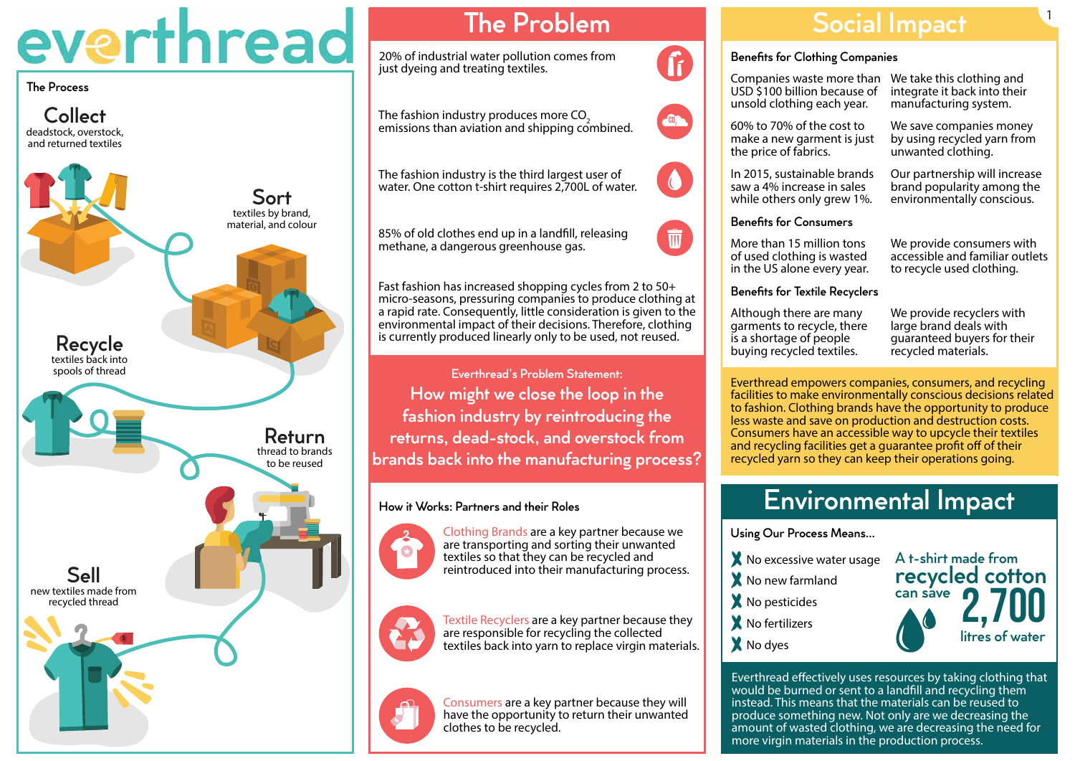deadstock, overstock, and returned textiles textiles by brand, material, and colour textiles back into spools of thread thread to brands to be reused new textiles made from recycled thread Sort **Collect** Recycle Return Sell \$

# everthread

The Process

## The Problem

20% of industrial water pollution comes from just dyeing and treating textiles.

The fashion industry is the third largest user of





85% of old clothes end up in a landfll, releasing

methane, a dangerous greenhouse gas.

The fashion industry produces more CO<sub>2</sub>

Fast fashion has increased shopping cycles from 2 to 50+ micro-seasons, pressuring companies to produce clothing at a rapid rate. Consequently, little consideration is given to the environmental impact of their decisions. Therefore, clothing is currently produced linearly only to be used, not reused.

> Textile Recyclers are a key partner because they are responsible for recycling the collected textiles back into yarn to replace virgin materials.



Everthread's Problem Statement:

How might we close the loop in the



fashion industry by reintroducing the

returns, dead-stock, and overstock from

brands back into the manufacturing process?

Clothing Brands are a key partner because we are transporting and sorting their unwanted textiles so that they can be recycled and reintroduced into their manufacturing process.



Consumers are a key partner because they will have the opportunity to return their unwanted clothes to be recycled.







Using Our Process Means...

- X No excessive water usage X No new farmland X No pesticides **X** No fertilizers
- X No dyes

## Environmental Impact



Everthread efectively uses resources by taking clothing that would be burned or sent to a landfll and recycling them instead. This means that the materials can be reused to produce something new. Not only are we decreasing the amount of wasted clothing, we are decreasing the need for more virgin materials in the production process.

More than 15 million tons of used clothing is wasted in the US alone every year.

Benefits for Textile Recyclers

We provide consumers with accessible and familiar outlets to recycle used clothing.

Everthread empowers companies, consumers, and recycling facilities to make environmentally conscious decisions related to fashion. Clothing brands have the opportunity to produce less waste and save on production and destruction costs. Consumers have an accessible way to upcycle their textiles and recycling facilities get a guarantee proft of of their recycled yarn so they can keep their operations going.

Although there are many garments to recycle, there is a shortage of people buying recycled textiles.

We provide recyclers with large brand deals with guaranteed buyers for their recycled materials.

USD \$100 billion because of unsold clothing each year.

Companies waste more than We take this clothing and integrate it back into their manufacturing system.

60% to 70% of the cost to make a new garment is just the price of fabrics.

We save companies money by using recycled yarn from unwanted clothing.

In 2015, sustainable brands saw a 4% increase in sales while others only grew 1%.

Our partnership will increase brand popularity among the environmentally conscious.

Benefits for Consumers

## Social Impact

#### Benefits for Clothing Companies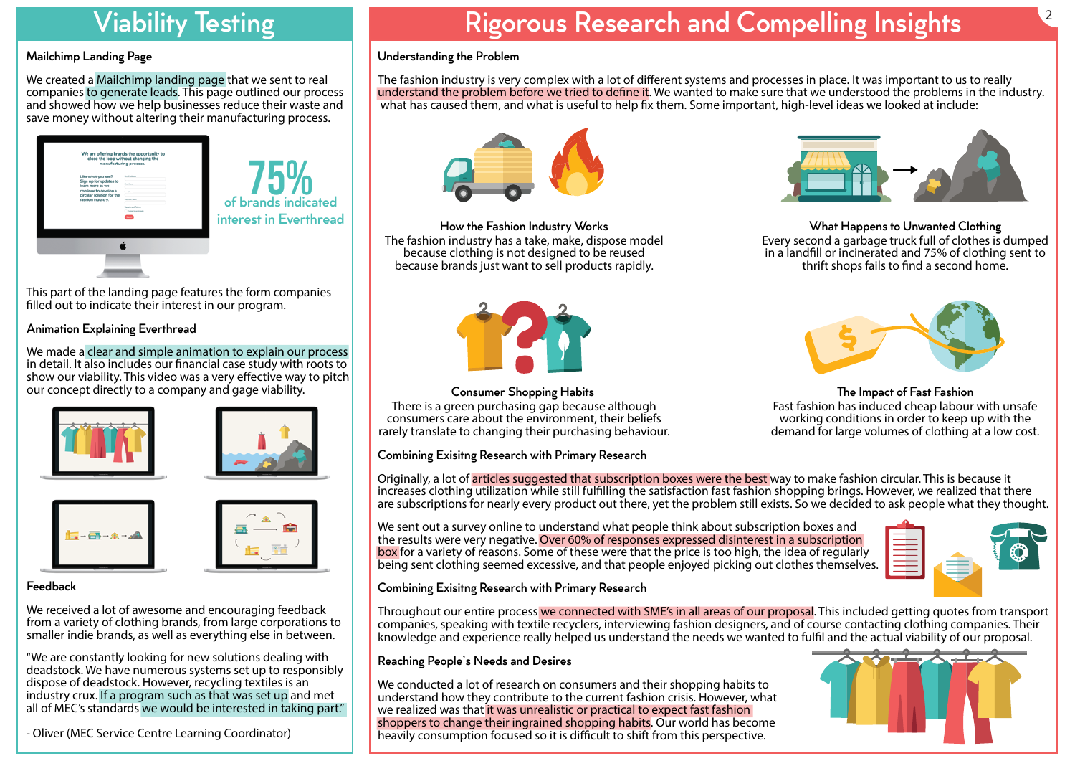## Viability Testing

#### Mailchimp Landing Page

## Animation Explaining Everthread

We made a clear and simple animation to explain our process in detail. It also includes our fnancial case study with roots to show our viability. This video was a very efective way to pitch our concept directly to a company and gage viability.









#### Feedback

We received a lot of awesome and encouraging feedback from a variety of clothing brands, from large corporations to smaller indie brands, as well as everything else in between.

This part of the landing page features the form companies flled out to indicate their interest in our program.



We created a Mailchimp landing page that we sent to real companies to generate leads. This page outlined our process and showed how we help businesses reduce their waste and save money without altering their manufacturing process.

"We are constantly looking for new solutions dealing with deadstock. We have numerous systems set up to responsibly dispose of deadstock. However, recycling textiles is an industry crux. If a program such as that was set up and met all of MEC's standards we would be interested in taking part." The fashion industry is very complex with a lot of diferent systems and processes in place. It was important to us to really understand the problem before we tried to defne it. We wanted to make sure that we understood the problems in the industry. what has caused them, and what is useful to help fix them. Some important, high-level ideas we looked at include:

![](_page_1_Picture_18.jpeg)

![](_page_1_Picture_19.jpeg)

- Oliver (MEC Service Centre Learning Coordinator)

# Rigorous Research and Compelling Insights

Originally, a lot of articles suggested that subscription boxes were the best way to make fashion circular. This is because it increases clothing utilization while still fulflling the satisfaction fast fashion shopping brings. However, we realized that there are subscriptions for nearly every product out there, yet the problem still exists. So we decided to ask people what they thought.

### Understanding the Problem

How the Fashion Industry Works The fashion industry has a take, make, dispose model because clothing is not designed to be reused because brands just want to sell products rapidly.

![](_page_1_Picture_21.jpeg)

What Happens to Unwanted Clothing Every second a garbage truck full of clothes is dumped in a landfll or incinerated and 75% of clothing sent to thrift shops fails to fnd a second home.

![](_page_1_Picture_35.jpeg)

Consumer Shopping Habits There is a green purchasing gap because although consumers care about the environment, their beliefs rarely translate to changing their purchasing behaviour.

We conducted a lot of research on consumers and their shopping habits to understand how they contribute to the current fashion crisis. However, what we realized was that it was unrealistic or practical to expect fast fashion shoppers to change their ingrained shopping habits. Our world has become heavily consumption focused so it is difficult to shift from this perspective.

The Impact of Fast Fashion Fast fashion has induced cheap labour with unsafe working conditions in order to keep up with the demand for large volumes of clothing at a low cost.

![](_page_1_Picture_38.jpeg)

![](_page_1_Picture_39.jpeg)

### Combining Exisitng Research with Primary Research

### Combining Exisitng Research with Primary Research

### Reaching People's Needs and Desires

Throughout our entire process we connected with SME's in all areas of our proposal. This included getting quotes from transport companies, speaking with textile recyclers, interviewing fashion designers, and of course contacting clothing companies. Their knowledge and experience really helped us understand the needs we wanted to fulfl and the actual viability of our proposal.

We sent out a survey online to understand what people think about subscription boxes and the results were very negative. Over 60% of responses expressed disinterest in a subscription box for a variety of reasons. Some of these were that the price is too high, the idea of regularly being sent clothing seemed excessive, and that people enjoyed picking out clothes themselves. 2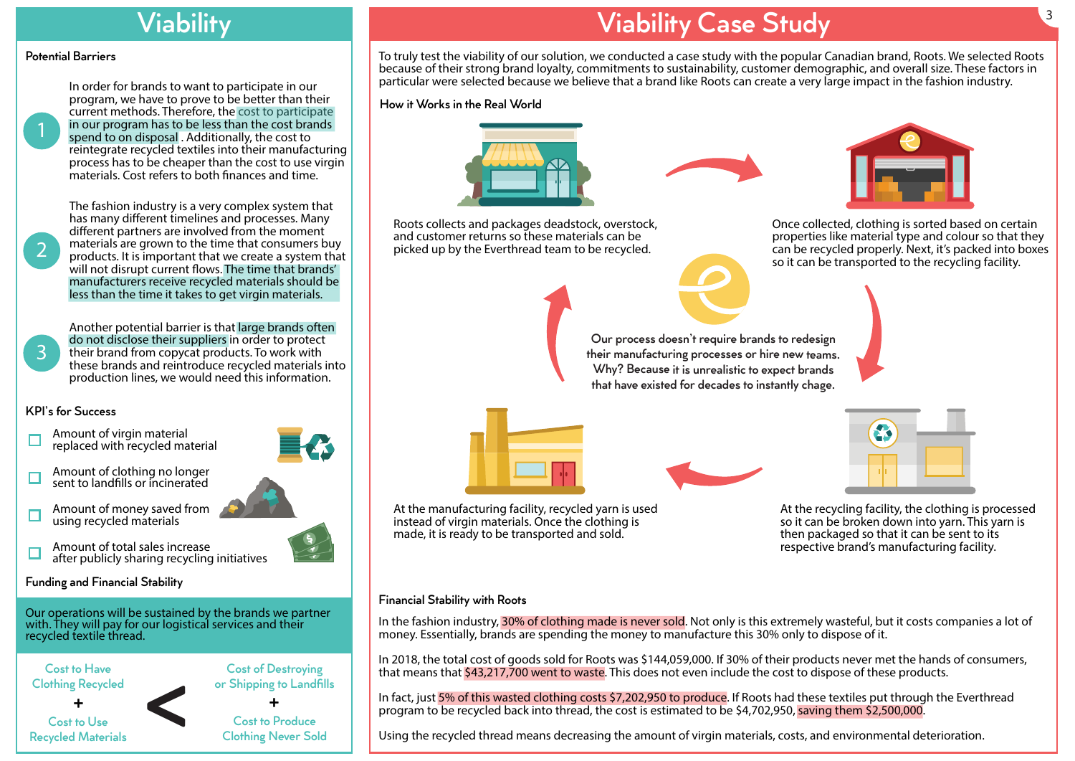## **Viability**

#### Potential Barriers

#### KPI's for Success

1

2

- Amount of virgin material replaced with recycled material
- Amount of clothing no longer ⊏ sent to landflls or incinerated
- Amount of money saved from using recycled materials
- Amount of total sales increase □ after publicly sharing recycling initiatives
- Funding and Financial Stability

Cost to Have Clothing Recycled Cost to Use Recycled Materials Cost of Destroying or Shipping to Landflls Cost to Produce Clothing Never Sold <sup>+</sup> <sup>+</sup> <

3

Our operations will be sustained by the brands we partner with. They will pay for our logistical services and their recycled textile thread.

In order for brands to want to participate in our program, we have to prove to be better than their current methods. Therefore, the cost to participate in our program has to be less than the cost brands spend to on disposal . Additionally, the cost to reintegrate recycled textiles into their manufacturing process has to be cheaper than the cost to use virgin materials. Cost refers to both fnances and time.

Another potential barrier is that large brands often do not disclose their suppliers in order to protect their brand from copycat products. To work with these brands and reintroduce recycled materials into production lines, we would need this information.

The fashion industry is a very complex system that has many diferent timelines and processes. Many diferent partners are involved from the moment materials are grown to the time that consumers buy products. It is important that we create a system that will not disrupt current flows. The time that brands' manufacturers receive recycled materials should be less than the time it takes to get virgin materials.

> In the fashion industry, 30% of clothing made is never sold. Not only is this extremely wasteful, but it costs companies a lot of money. Essentially, brands are spending the money to manufacture this 30% only to dispose of it.

## Viability Case Study

In fact, just 5% of this wasted clothing costs \$7,202,950 to produce. If Roots had these textiles put through the Everthread program to be recycled back into thread, the cost is estimated to be \$4,702,950, saving them \$2,500,000.

To truly test the viability of our solution, we conducted a case study with the popular Canadian brand, Roots. We selected Roots because of their strong brand loyalty, commitments to sustainability, customer demographic, and overall size. These factors in particular were selected because we believe that a brand like Roots can create a very large impact in the fashion industry.

> Once collected, clothing is sorted based on certain properties like material type and colour so that they can be recycled properly. Next, it's packed into boxes so it can be transported to the recycling facility.

![](_page_2_Figure_35.jpeg)

At the recycling facility, the clothing is processed so it can be broken down into yarn. This yarn is then packaged so that it can be sent to its respective brand's manufacturing facility.

At the manufacturing facility, recycled yarn is used instead of virgin materials. Once the clothing is made, it is ready to be transported and sold.

Roots collects and packages deadstock, overstock, and customer returns so these materials can be picked up by the Everthread team to be recycled.

![](_page_2_Picture_19.jpeg)

![](_page_2_Picture_20.jpeg)

How it Works in the Real World

![](_page_2_Picture_16.jpeg)

![](_page_2_Picture_17.jpeg)

#### Financial Stability with Roots

Our process doesn't require brands to redesign their manufacturing processes or hire new teams. Why? Because it is unrealistic to expect brands that have existed for decades to instantly chage.

![](_page_2_Picture_22.jpeg)

![](_page_2_Picture_23.jpeg)

In 2018, the total cost of goods sold for Roots was \$144,059,000. If 30% of their products never met the hands of consumers, that means that \$43,217,700 went to waste. This does not even include the cost to dispose of these products.

Using the recycled thread means decreasing the amount of virgin materials, costs, and environmental deterioration.

![](_page_2_Picture_31.jpeg)

![](_page_2_Picture_32.jpeg)

![](_page_2_Picture_33.jpeg)